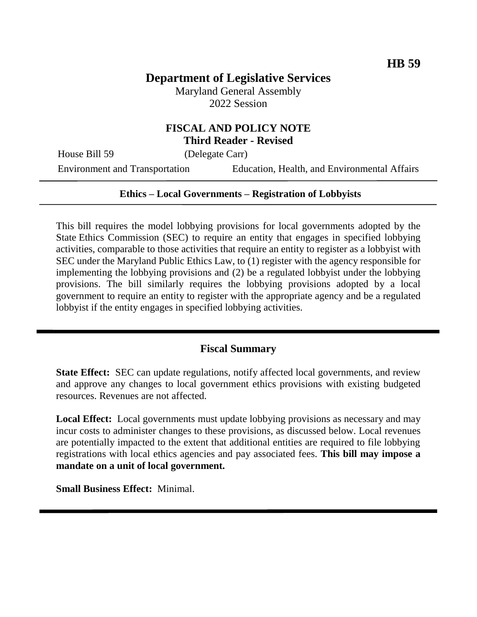# **Department of Legislative Services**

Maryland General Assembly 2022 Session

### **FISCAL AND POLICY NOTE Third Reader - Revised**

House Bill 59 (Delegate Carr)

Environment and Transportation Education, Health, and Environmental Affairs

#### **Ethics – Local Governments – Registration of Lobbyists**

This bill requires the model lobbying provisions for local governments adopted by the State Ethics Commission (SEC) to require an entity that engages in specified lobbying activities, comparable to those activities that require an entity to register as a lobbyist with SEC under the Maryland Public Ethics Law, to (1) register with the agency responsible for implementing the lobbying provisions and (2) be a regulated lobbyist under the lobbying provisions. The bill similarly requires the lobbying provisions adopted by a local government to require an entity to register with the appropriate agency and be a regulated lobbyist if the entity engages in specified lobbying activities.

#### **Fiscal Summary**

**State Effect:** SEC can update regulations, notify affected local governments, and review and approve any changes to local government ethics provisions with existing budgeted resources. Revenues are not affected.

**Local Effect:** Local governments must update lobbying provisions as necessary and may incur costs to administer changes to these provisions, as discussed below. Local revenues are potentially impacted to the extent that additional entities are required to file lobbying registrations with local ethics agencies and pay associated fees. **This bill may impose a mandate on a unit of local government.**

**Small Business Effect:** Minimal.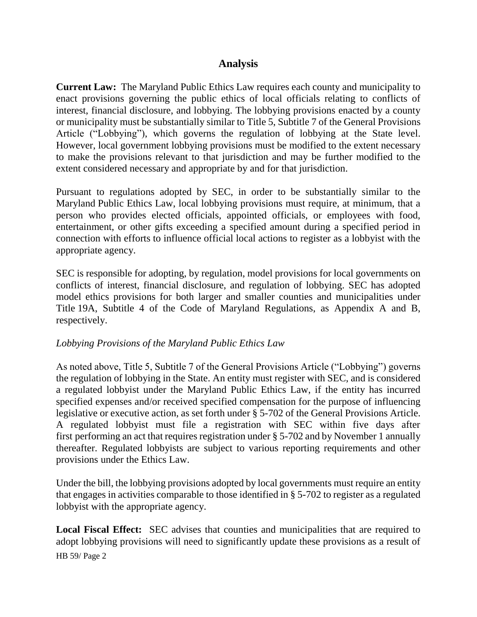### **Analysis**

**Current Law:** The Maryland Public Ethics Law requires each county and municipality to enact provisions governing the public ethics of local officials relating to conflicts of interest, financial disclosure, and lobbying. The lobbying provisions enacted by a county or municipality must be substantially similar to Title 5, Subtitle 7 of the General Provisions Article ("Lobbying"), which governs the regulation of lobbying at the State level. However, local government lobbying provisions must be modified to the extent necessary to make the provisions relevant to that jurisdiction and may be further modified to the extent considered necessary and appropriate by and for that jurisdiction.

Pursuant to regulations adopted by SEC, in order to be substantially similar to the Maryland Public Ethics Law, local lobbying provisions must require, at minimum, that a person who provides elected officials, appointed officials, or employees with food, entertainment, or other gifts exceeding a specified amount during a specified period in connection with efforts to influence official local actions to register as a lobbyist with the appropriate agency.

SEC is responsible for adopting, by regulation, model provisions for local governments on conflicts of interest, financial disclosure, and regulation of lobbying. SEC has adopted model ethics provisions for both larger and smaller counties and municipalities under Title 19A, Subtitle 4 of the Code of Maryland Regulations, as Appendix A and B, respectively.

#### *Lobbying Provisions of the Maryland Public Ethics Law*

As noted above, Title 5, Subtitle 7 of the General Provisions Article ("Lobbying") governs the regulation of lobbying in the State. An entity must register with SEC, and is considered a regulated lobbyist under the Maryland Public Ethics Law, if the entity has incurred specified expenses and/or received specified compensation for the purpose of influencing legislative or executive action, as set forth under § 5-702 of the General Provisions Article. A regulated lobbyist must file a registration with SEC within five days after first performing an act that requires registration under § 5-702 and by November 1 annually thereafter. Regulated lobbyists are subject to various reporting requirements and other provisions under the Ethics Law.

Under the bill, the lobbying provisions adopted by local governments must require an entity that engages in activities comparable to those identified in § 5-702 to register as a regulated lobbyist with the appropriate agency.

HB 59/ Page 2 **Local Fiscal Effect:** SEC advises that counties and municipalities that are required to adopt lobbying provisions will need to significantly update these provisions as a result of